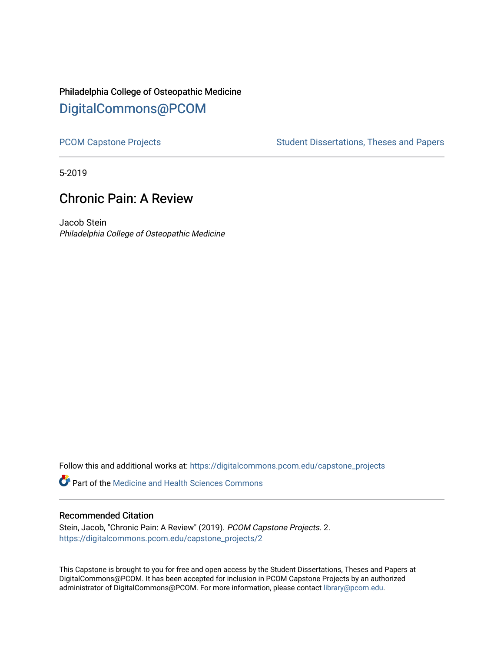# Philadelphia College of Osteopathic Medicine [DigitalCommons@PCOM](https://digitalcommons.pcom.edu/)

[PCOM Capstone Projects](https://digitalcommons.pcom.edu/capstone_projects) **Student Dissertations, Theses and Papers** Student Dissertations, Theses and Papers

5-2019

# Chronic Pain: A Review

Jacob Stein Philadelphia College of Osteopathic Medicine

Follow this and additional works at: [https://digitalcommons.pcom.edu/capstone\\_projects](https://digitalcommons.pcom.edu/capstone_projects?utm_source=digitalcommons.pcom.edu%2Fcapstone_projects%2F2&utm_medium=PDF&utm_campaign=PDFCoverPages)

**Part of the Medicine and Health Sciences Commons** 

#### Recommended Citation

Stein, Jacob, "Chronic Pain: A Review" (2019). PCOM Capstone Projects. 2. [https://digitalcommons.pcom.edu/capstone\\_projects/2](https://digitalcommons.pcom.edu/capstone_projects/2?utm_source=digitalcommons.pcom.edu%2Fcapstone_projects%2F2&utm_medium=PDF&utm_campaign=PDFCoverPages) 

This Capstone is brought to you for free and open access by the Student Dissertations, Theses and Papers at DigitalCommons@PCOM. It has been accepted for inclusion in PCOM Capstone Projects by an authorized administrator of DigitalCommons@PCOM. For more information, please contact [library@pcom.edu.](mailto:library@pcom.edu)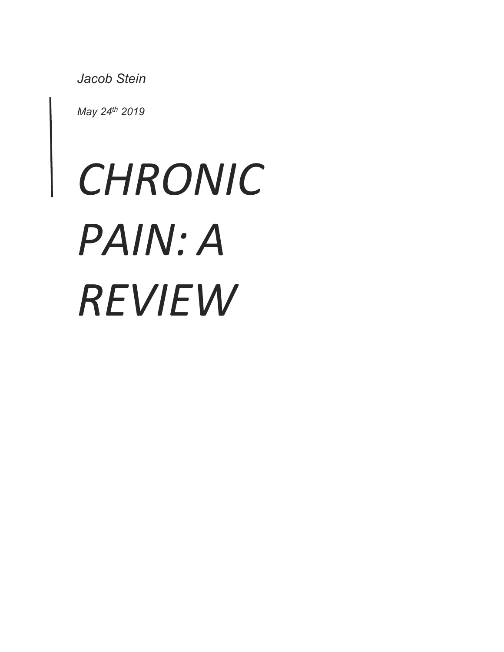*Jacob Stein*

*May 24th 2019*

# *CHRONIC PAIN: A REVIEW*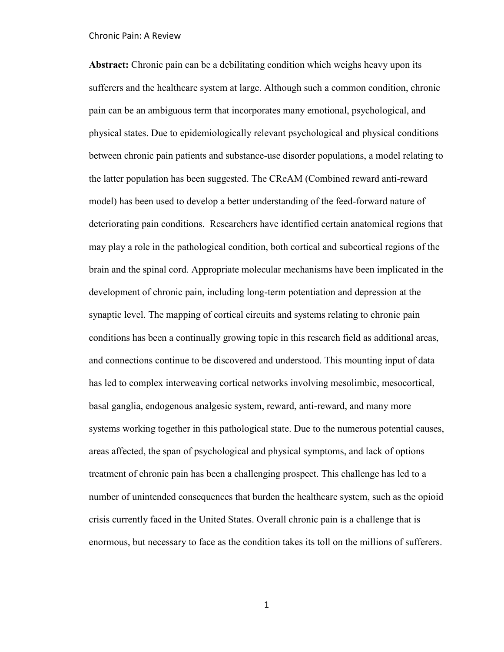**Abstract:** Chronic pain can be a debilitating condition which weighs heavy upon its sufferers and the healthcare system at large. Although such a common condition, chronic pain can be an ambiguous term that incorporates many emotional, psychological, and physical states. Due to epidemiologically relevant psychological and physical conditions between chronic pain patients and substance-use disorder populations, a model relating to the latter population has been suggested. The CReAM (Combined reward anti-reward model) has been used to develop a better understanding of the feed-forward nature of deteriorating pain conditions. Researchers have identified certain anatomical regions that may play a role in the pathological condition, both cortical and subcortical regions of the brain and the spinal cord. Appropriate molecular mechanisms have been implicated in the development of chronic pain, including long-term potentiation and depression at the synaptic level. The mapping of cortical circuits and systems relating to chronic pain conditions has been a continually growing topic in this research field as additional areas, and connections continue to be discovered and understood. This mounting input of data has led to complex interweaving cortical networks involving mesolimbic, mesocortical, basal ganglia, endogenous analgesic system, reward, anti-reward, and many more systems working together in this pathological state. Due to the numerous potential causes, areas affected, the span of psychological and physical symptoms, and lack of options treatment of chronic pain has been a challenging prospect. This challenge has led to a number of unintended consequences that burden the healthcare system, such as the opioid crisis currently faced in the United States. Overall chronic pain is a challenge that is enormous, but necessary to face as the condition takes its toll on the millions of sufferers.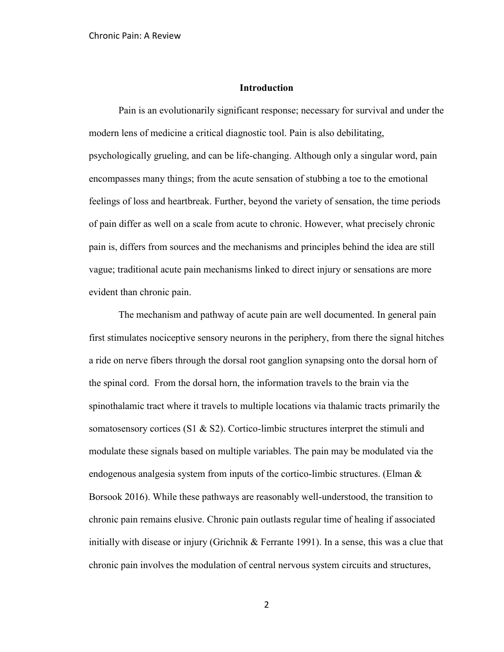#### **Introduction**

Pain is an evolutionarily significant response; necessary for survival and under the modern lens of medicine a critical diagnostic tool. Pain is also debilitating, psychologically grueling, and can be life-changing. Although only a singular word, pain encompasses many things; from the acute sensation of stubbing a toe to the emotional feelings of loss and heartbreak. Further, beyond the variety of sensation, the time periods of pain differ as well on a scale from acute to chronic. However, what precisely chronic pain is, differs from sources and the mechanisms and principles behind the idea are still vague; traditional acute pain mechanisms linked to direct injury or sensations are more evident than chronic pain.

The mechanism and pathway of acute pain are well documented. In general pain first stimulates nociceptive sensory neurons in the periphery, from there the signal hitches a ride on nerve fibers through the dorsal root ganglion synapsing onto the dorsal horn of the spinal cord. From the dorsal horn, the information travels to the brain via the spinothalamic tract where it travels to multiple locations via thalamic tracts primarily the somatosensory cortices (S1  $\&$  S2). Cortico-limbic structures interpret the stimuli and modulate these signals based on multiple variables. The pain may be modulated via the endogenous analgesia system from inputs of the cortico-limbic structures. (Elman  $\&$ Borsook 2016). While these pathways are reasonably well-understood, the transition to chronic pain remains elusive. Chronic pain outlasts regular time of healing if associated initially with disease or injury (Grichnik & Ferrante 1991). In a sense, this was a clue that chronic pain involves the modulation of central nervous system circuits and structures,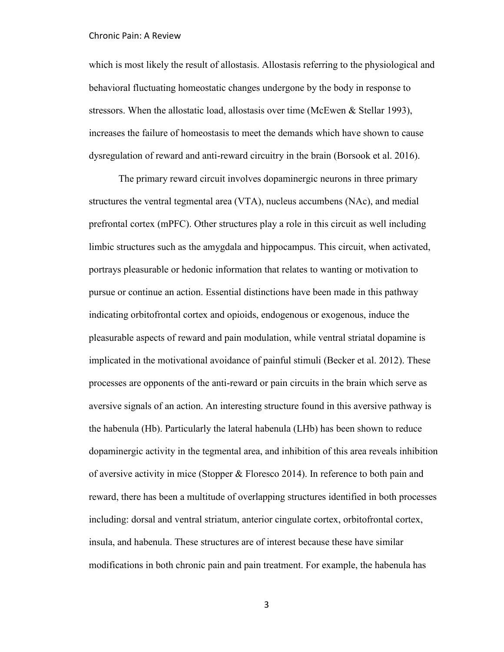which is most likely the result of allostasis. Allostasis referring to the physiological and behavioral fluctuating homeostatic changes undergone by the body in response to stressors. When the allostatic load, allostasis over time (McEwen  $\&$  Stellar 1993), increases the failure of homeostasis to meet the demands which have shown to cause dysregulation of reward and anti-reward circuitry in the brain (Borsook et al. 2016).

The primary reward circuit involves dopaminergic neurons in three primary structures the ventral tegmental area (VTA), nucleus accumbens (NAc), and medial prefrontal cortex (mPFC). Other structures play a role in this circuit as well including limbic structures such as the amygdala and hippocampus. This circuit, when activated, portrays pleasurable or hedonic information that relates to wanting or motivation to pursue or continue an action. Essential distinctions have been made in this pathway indicating orbitofrontal cortex and opioids, endogenous or exogenous, induce the pleasurable aspects of reward and pain modulation, while ventral striatal dopamine is implicated in the motivational avoidance of painful stimuli (Becker et al. 2012). These processes are opponents of the anti-reward or pain circuits in the brain which serve as aversive signals of an action. An interesting structure found in this aversive pathway is the habenula (Hb). Particularly the lateral habenula (LHb) has been shown to reduce dopaminergic activity in the tegmental area, and inhibition of this area reveals inhibition of aversive activity in mice (Stopper & Floresco 2014). In reference to both pain and reward, there has been a multitude of overlapping structures identified in both processes including: dorsal and ventral striatum, anterior cingulate cortex, orbitofrontal cortex, insula, and habenula. These structures are of interest because these have similar modifications in both chronic pain and pain treatment. For example, the habenula has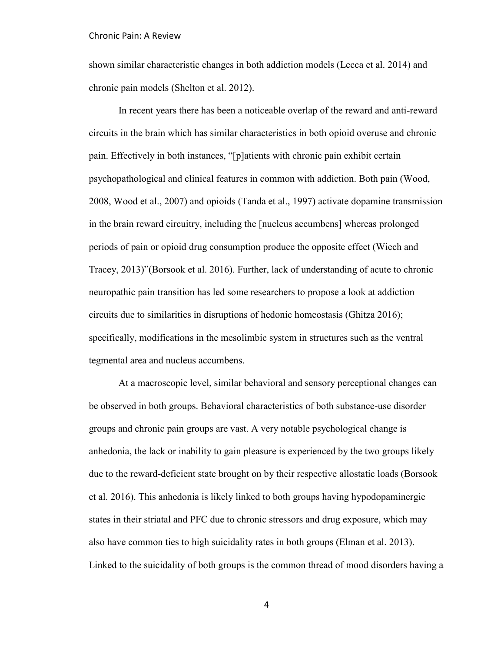shown similar characteristic changes in both addiction models (Lecca et al. 2014) and chronic pain models (Shelton et al. 2012).

In recent years there has been a noticeable overlap of the reward and anti-reward circuits in the brain which has similar characteristics in both opioid overuse and chronic pain. Effectively in both instances, "[p]atients with chronic pain exhibit certain psychopathological and clinical features in common with addiction. Both pain (Wood, 2008, Wood et al., 2007) and opioids (Tanda et al., 1997) activate dopamine transmission in the brain reward circuitry, including the [nucleus accumbens] whereas prolonged periods of pain or opioid drug consumption produce the opposite effect (Wiech and Tracey, 2013)"(Borsook et al. 2016). Further, lack of understanding of acute to chronic neuropathic pain transition has led some researchers to propose a look at addiction circuits due to similarities in disruptions of hedonic homeostasis (Ghitza 2016); specifically, modifications in the mesolimbic system in structures such as the ventral tegmental area and nucleus accumbens.

At a macroscopic level, similar behavioral and sensory perceptional changes can be observed in both groups. Behavioral characteristics of both substance-use disorder groups and chronic pain groups are vast. A very notable psychological change is anhedonia, the lack or inability to gain pleasure is experienced by the two groups likely due to the reward-deficient state brought on by their respective allostatic loads (Borsook et al. 2016). This anhedonia is likely linked to both groups having hypodopaminergic states in their striatal and PFC due to chronic stressors and drug exposure, which may also have common ties to high suicidality rates in both groups (Elman et al. 2013). Linked to the suicidality of both groups is the common thread of mood disorders having a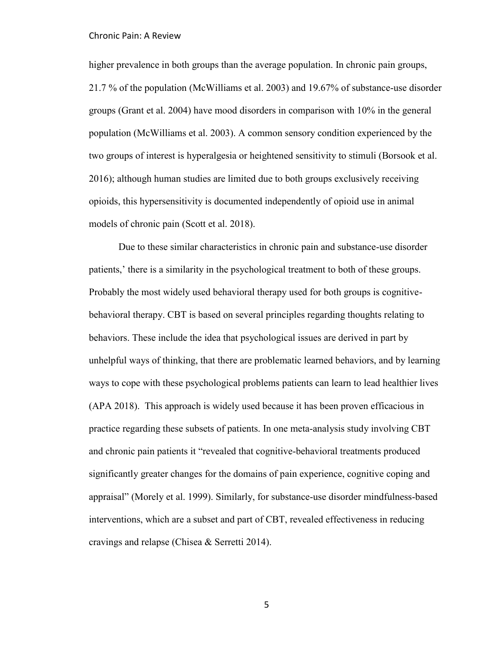higher prevalence in both groups than the average population. In chronic pain groups, 21.7 % of the population (McWilliams et al. 2003) and 19.67% of substance-use disorder groups (Grant et al. 2004) have mood disorders in comparison with 10% in the general population (McWilliams et al. 2003). A common sensory condition experienced by the two groups of interest is hyperalgesia or heightened sensitivity to stimuli (Borsook et al. 2016); although human studies are limited due to both groups exclusively receiving opioids, this hypersensitivity is documented independently of opioid use in animal models of chronic pain (Scott et al. 2018).

Due to these similar characteristics in chronic pain and substance-use disorder patients,' there is a similarity in the psychological treatment to both of these groups. Probably the most widely used behavioral therapy used for both groups is cognitivebehavioral therapy. CBT is based on several principles regarding thoughts relating to behaviors. These include the idea that psychological issues are derived in part by unhelpful ways of thinking, that there are problematic learned behaviors, and by learning ways to cope with these psychological problems patients can learn to lead healthier lives (APA 2018). This approach is widely used because it has been proven efficacious in practice regarding these subsets of patients. In one meta-analysis study involving CBT and chronic pain patients it "revealed that cognitive-behavioral treatments produced significantly greater changes for the domains of pain experience, cognitive coping and appraisal" (Morely et al. 1999). Similarly, for substance-use disorder mindfulness-based interventions, which are a subset and part of CBT, revealed effectiveness in reducing cravings and relapse (Chisea & Serretti 2014).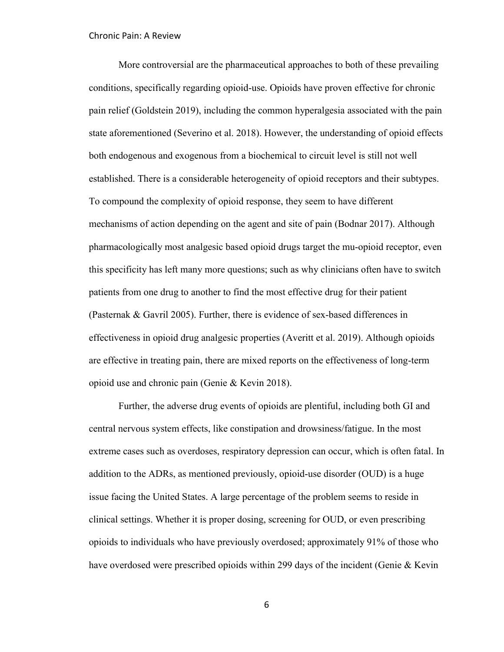More controversial are the pharmaceutical approaches to both of these prevailing conditions, specifically regarding opioid-use. Opioids have proven effective for chronic pain relief (Goldstein 2019), including the common hyperalgesia associated with the pain state aforementioned (Severino et al. 2018). However, the understanding of opioid effects both endogenous and exogenous from a biochemical to circuit level is still not well established. There is a considerable heterogeneity of opioid receptors and their subtypes. To compound the complexity of opioid response, they seem to have different mechanisms of action depending on the agent and site of pain (Bodnar 2017). Although pharmacologically most analgesic based opioid drugs target the mu-opioid receptor, even this specificity has left many more questions; such as why clinicians often have to switch patients from one drug to another to find the most effective drug for their patient (Pasternak & Gavril 2005). Further, there is evidence of sex-based differences in effectiveness in opioid drug analgesic properties (Averitt et al. 2019). Although opioids are effective in treating pain, there are mixed reports on the effectiveness of long-term opioid use and chronic pain (Genie & Kevin 2018).

Further, the adverse drug events of opioids are plentiful, including both GI and central nervous system effects, like constipation and drowsiness/fatigue. In the most extreme cases such as overdoses, respiratory depression can occur, which is often fatal. In addition to the ADRs, as mentioned previously, opioid-use disorder (OUD) is a huge issue facing the United States. A large percentage of the problem seems to reside in clinical settings. Whether it is proper dosing, screening for OUD, or even prescribing opioids to individuals who have previously overdosed; approximately 91% of those who have overdosed were prescribed opioids within 299 days of the incident (Genie & Kevin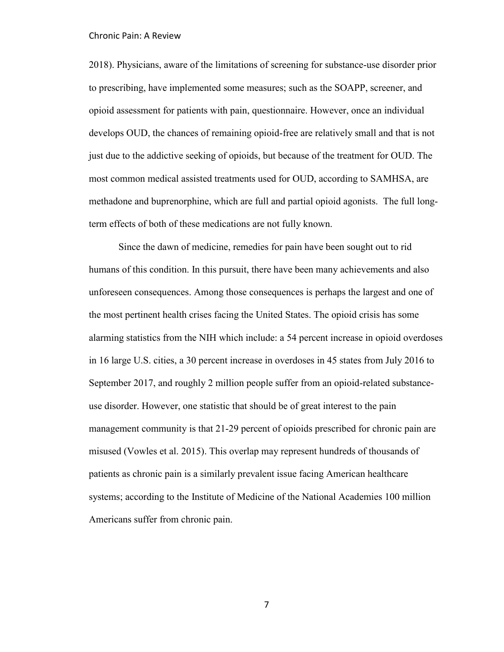2018). Physicians, aware of the limitations of screening for substance-use disorder prior to prescribing, have implemented some measures; such as the SOAPP, screener, and opioid assessment for patients with pain, questionnaire. However, once an individual develops OUD, the chances of remaining opioid-free are relatively small and that is not just due to the addictive seeking of opioids, but because of the treatment for OUD. The most common medical assisted treatments used for OUD, according to SAMHSA, are methadone and buprenorphine, which are full and partial opioid agonists. The full longterm effects of both of these medications are not fully known.

Since the dawn of medicine, remedies for pain have been sought out to rid humans of this condition. In this pursuit, there have been many achievements and also unforeseen consequences. Among those consequences is perhaps the largest and one of the most pertinent health crises facing the United States. The opioid crisis has some alarming statistics from the NIH which include: a 54 percent increase in opioid overdoses in 16 large U.S. cities, a 30 percent increase in overdoses in 45 states from July 2016 to September 2017, and roughly 2 million people suffer from an opioid-related substanceuse disorder. However, one statistic that should be of great interest to the pain management community is that 21-29 percent of opioids prescribed for chronic pain are misused (Vowles et al. 2015). This overlap may represent hundreds of thousands of patients as chronic pain is a similarly prevalent issue facing American healthcare systems; according to the Institute of Medicine of the National Academies 100 million Americans suffer from chronic pain.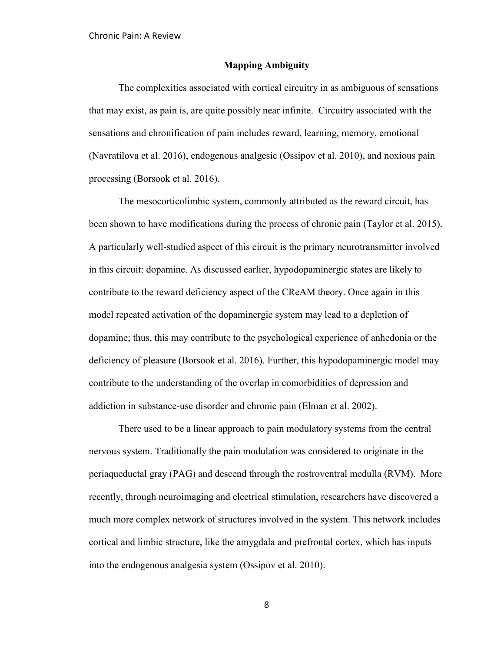#### **Mapping Ambiguity**

The complexities associated with cortical circuitry in as ambiguous of sensations that may exist, as pain is, are quite possibly near infinite. Circuitry associated with the sensations and chronification of pain includes reward, learning, memory, emotional (Navratilova et al. 2016), endogenous analgesic (Ossipov et al. 2010), and noxious pain processing (Borsook et al. 2016).

The mesocorticolimbic system, commonly attributed as the reward circuit, has been shown to have modifications during the process of chronic pain (Taylor et al. 2015). A particularly well-studied aspect of this circuit is the primary neurotransmitter involved in this circuit: dopamine. As discussed earlier, hypodopaminergic states are likely to contribute to the reward deficiency aspect of the CReAM theory. Once again in this model repeated activation of the dopaminergic system may lead to a depletion of dopamine; thus, this may contribute to the psychological experience of anhedonia or the deficiency of pleasure (Borsook et al. 2016). Further, this hypodopaminergic model may contribute to the understanding of the overlap in comorbidities of depression and addiction in substance-use disorder and chronic pain (Elman et al. 2002).

There used to be a linear approach to pain modulatory systems from the central nervous system. Traditionally the pain modulation was considered to originate in the periaqueductal gray (PAG) and descend through the rostroventral medulla (RVM). More recently, through neuroimaging and electrical stimulation, researchers have discovered a much more complex network of structures involved in the system. This network includes cortical and limbic structure, like the amygdala and prefrontal cortex, which has inputs into the endogenous analgesia system (Ossipov et al. 2010).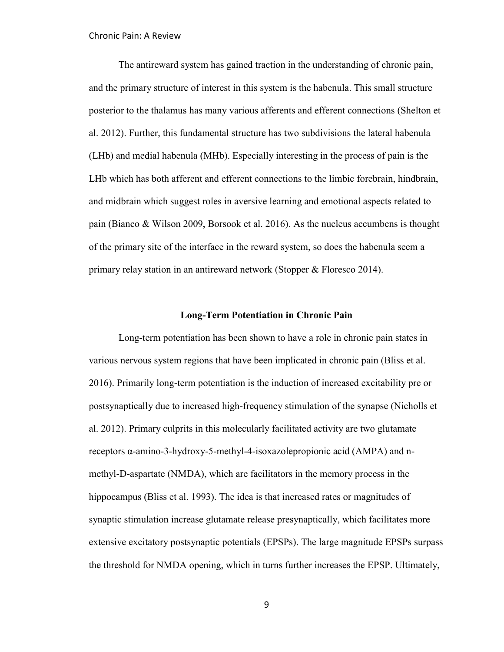The antireward system has gained traction in the understanding of chronic pain, and the primary structure of interest in this system is the habenula. This small structure posterior to the thalamus has many various afferents and efferent connections (Shelton et al. 2012). Further, this fundamental structure has two subdivisions the lateral habenula (LHb) and medial habenula (MHb). Especially interesting in the process of pain is the LHb which has both afferent and efferent connections to the limbic forebrain, hindbrain, and midbrain which suggest roles in aversive learning and emotional aspects related to pain (Bianco & Wilson 2009, Borsook et al. 2016). As the nucleus accumbens is thought of the primary site of the interface in the reward system, so does the habenula seem a primary relay station in an antireward network (Stopper & Floresco 2014).

#### **Long-Term Potentiation in Chronic Pain**

Long-term potentiation has been shown to have a role in chronic pain states in various nervous system regions that have been implicated in chronic pain (Bliss et al. 2016). Primarily long-term potentiation is the induction of increased excitability pre or postsynaptically due to increased high-frequency stimulation of the synapse (Nicholls et al. 2012). Primary culprits in this molecularly facilitated activity are two glutamate receptors α-amino-3-hydroxy-5-methyl-4-isoxazolepropionic acid (AMPA) and nmethyl-D-aspartate (NMDA), which are facilitators in the memory process in the hippocampus (Bliss et al. 1993). The idea is that increased rates or magnitudes of synaptic stimulation increase glutamate release presynaptically, which facilitates more extensive excitatory postsynaptic potentials (EPSPs). The large magnitude EPSPs surpass the threshold for NMDA opening, which in turns further increases the EPSP. Ultimately,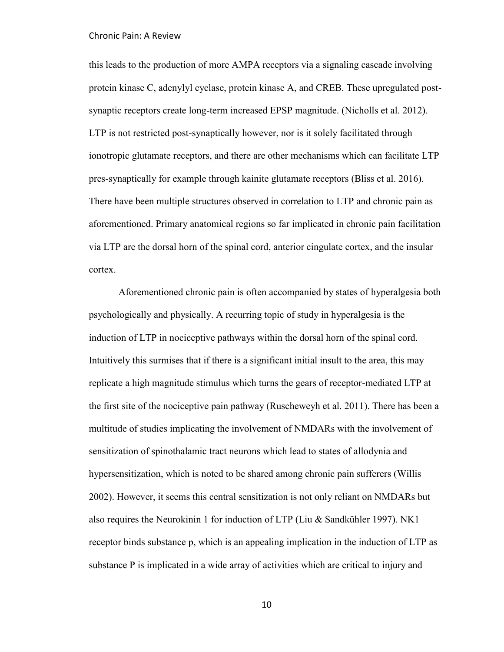this leads to the production of more AMPA receptors via a signaling cascade involving protein kinase C, adenylyl cyclase, protein kinase A, and CREB. These upregulated postsynaptic receptors create long-term increased EPSP magnitude. (Nicholls et al. 2012). LTP is not restricted post-synaptically however, nor is it solely facilitated through ionotropic glutamate receptors, and there are other mechanisms which can facilitate LTP pres-synaptically for example through kainite glutamate receptors (Bliss et al. 2016). There have been multiple structures observed in correlation to LTP and chronic pain as aforementioned. Primary anatomical regions so far implicated in chronic pain facilitation via LTP are the dorsal horn of the spinal cord, anterior cingulate cortex, and the insular cortex.

Aforementioned chronic pain is often accompanied by states of hyperalgesia both psychologically and physically. A recurring topic of study in hyperalgesia is the induction of LTP in nociceptive pathways within the dorsal horn of the spinal cord. Intuitively this surmises that if there is a significant initial insult to the area, this may replicate a high magnitude stimulus which turns the gears of receptor-mediated LTP at the first site of the nociceptive pain pathway (Ruscheweyh et al. 2011). There has been a multitude of studies implicating the involvement of NMDARs with the involvement of sensitization of spinothalamic tract neurons which lead to states of allodynia and hypersensitization, which is noted to be shared among chronic pain sufferers (Willis 2002). However, it seems this central sensitization is not only reliant on NMDARs but also requires the Neurokinin 1 for induction of LTP (Liu & Sandkühler 1997). NK1 receptor binds substance p, which is an appealing implication in the induction of LTP as substance P is implicated in a wide array of activities which are critical to injury and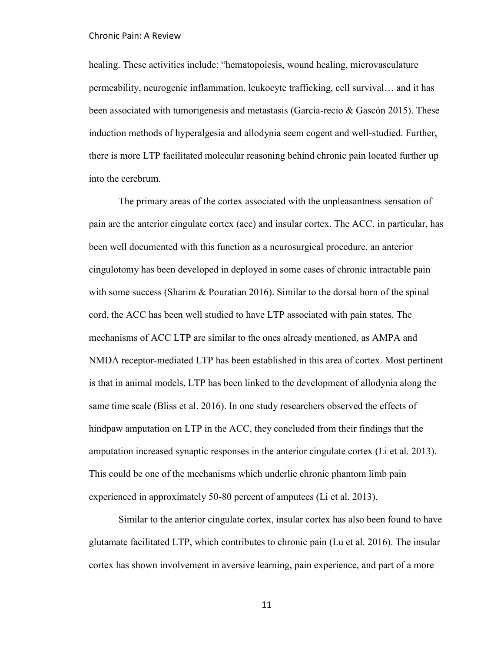healing. These activities include: "hematopoiesis, wound healing, microvasculature permeability, neurogenic inflammation, leukocyte trafficking, cell survival… and it has been associated with tumorigenesis and metastasis (Garcia-recio & Gascón 2015). These induction methods of hyperalgesia and allodynia seem cogent and well-studied. Further, there is more LTP facilitated molecular reasoning behind chronic pain located further up into the cerebrum.

The primary areas of the cortex associated with the unpleasantness sensation of pain are the anterior cingulate cortex (acc) and insular cortex. The ACC, in particular, has been well documented with this function as a neurosurgical procedure, an anterior cingulotomy has been developed in deployed in some cases of chronic intractable pain with some success (Sharim & Pouratian 2016). Similar to the dorsal horn of the spinal cord, the ACC has been well studied to have LTP associated with pain states. The mechanisms of ACC LTP are similar to the ones already mentioned, as AMPA and NMDA receptor-mediated LTP has been established in this area of cortex. Most pertinent is that in animal models, LTP has been linked to the development of allodynia along the same time scale (Bliss et al. 2016). In one study researchers observed the effects of hindpaw amputation on LTP in the ACC, they concluded from their findings that the amputation increased synaptic responses in the anterior cingulate cortex (Li et al. 2013). This could be one of the mechanisms which underlie chronic phantom limb pain experienced in approximately 50-80 percent of amputees (Li et al. 2013).

Similar to the anterior cingulate cortex, insular cortex has also been found to have glutamate facilitated LTP, which contributes to chronic pain (Lu et al. 2016). The insular cortex has shown involvement in aversive learning, pain experience, and part of a more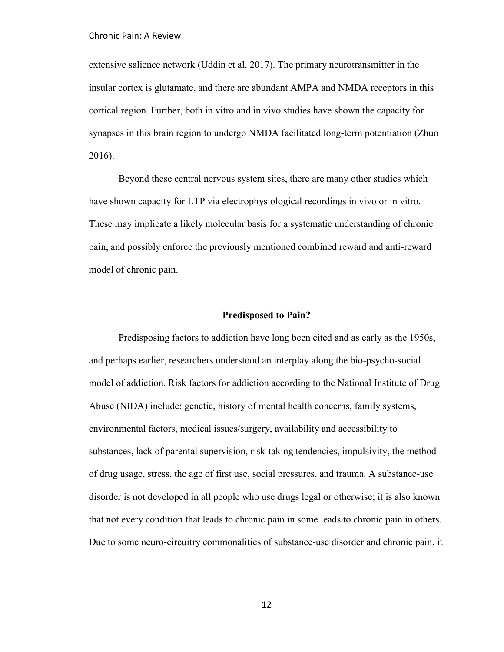extensive salience network (Uddin et al. 2017). The primary neurotransmitter in the insular cortex is glutamate, and there are abundant AMPA and NMDA receptors in this cortical region. Further, both in vitro and in vivo studies have shown the capacity for synapses in this brain region to undergo NMDA facilitated long-term potentiation (Zhuo 2016).

Beyond these central nervous system sites, there are many other studies which have shown capacity for LTP via electrophysiological recordings in vivo or in vitro. These may implicate a likely molecular basis for a systematic understanding of chronic pain, and possibly enforce the previously mentioned combined reward and anti-reward model of chronic pain.

#### **Predisposed to Pain?**

Predisposing factors to addiction have long been cited and as early as the 1950s, and perhaps earlier, researchers understood an interplay along the bio-psycho-social model of addiction. Risk factors for addiction according to the National Institute of Drug Abuse (NIDA) include: genetic, history of mental health concerns, family systems, environmental factors, medical issues/surgery, availability and accessibility to substances, lack of parental supervision, risk-taking tendencies, impulsivity, the method of drug usage, stress, the age of first use, social pressures, and trauma. A substance-use disorder is not developed in all people who use drugs legal or otherwise; it is also known that not every condition that leads to chronic pain in some leads to chronic pain in others. Due to some neuro-circuitry commonalities of substance-use disorder and chronic pain, it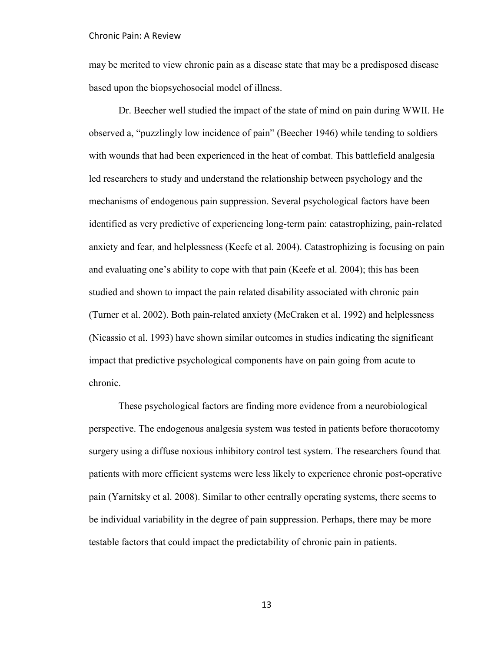may be merited to view chronic pain as a disease state that may be a predisposed disease based upon the biopsychosocial model of illness.

Dr. Beecher well studied the impact of the state of mind on pain during WWII. He observed a, "puzzlingly low incidence of pain" (Beecher 1946) while tending to soldiers with wounds that had been experienced in the heat of combat. This battlefield analgesia led researchers to study and understand the relationship between psychology and the mechanisms of endogenous pain suppression. Several psychological factors have been identified as very predictive of experiencing long-term pain: catastrophizing, pain-related anxiety and fear, and helplessness (Keefe et al. 2004). Catastrophizing is focusing on pain and evaluating one's ability to cope with that pain (Keefe et al. 2004); this has been studied and shown to impact the pain related disability associated with chronic pain (Turner et al. 2002). Both pain-related anxiety (McCraken et al. 1992) and helplessness (Nicassio et al. 1993) have shown similar outcomes in studies indicating the significant impact that predictive psychological components have on pain going from acute to chronic.

These psychological factors are finding more evidence from a neurobiological perspective. The endogenous analgesia system was tested in patients before thoracotomy surgery using a diffuse noxious inhibitory control test system. The researchers found that patients with more efficient systems were less likely to experience chronic post-operative pain (Yarnitsky et al. 2008). Similar to other centrally operating systems, there seems to be individual variability in the degree of pain suppression. Perhaps, there may be more testable factors that could impact the predictability of chronic pain in patients.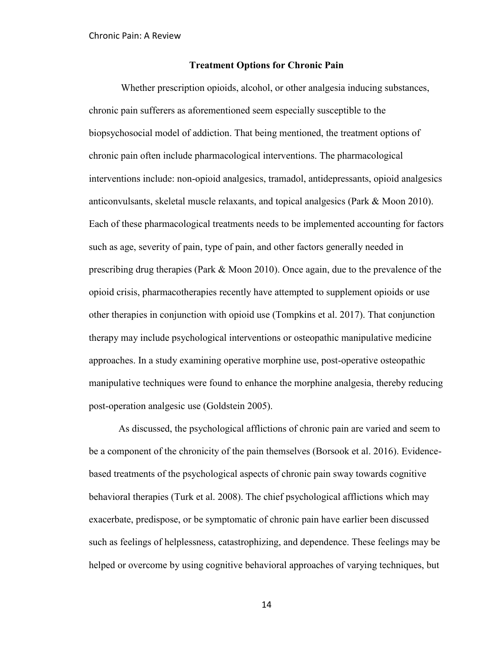## **Treatment Options for Chronic Pain**

 Whether prescription opioids, alcohol, or other analgesia inducing substances, chronic pain sufferers as aforementioned seem especially susceptible to the biopsychosocial model of addiction. That being mentioned, the treatment options of chronic pain often include pharmacological interventions. The pharmacological interventions include: non-opioid analgesics, tramadol, antidepressants, opioid analgesics anticonvulsants, skeletal muscle relaxants, and topical analgesics (Park & Moon 2010). Each of these pharmacological treatments needs to be implemented accounting for factors such as age, severity of pain, type of pain, and other factors generally needed in prescribing drug therapies (Park & Moon 2010). Once again, due to the prevalence of the opioid crisis, pharmacotherapies recently have attempted to supplement opioids or use other therapies in conjunction with opioid use (Tompkins et al. 2017). That conjunction therapy may include psychological interventions or osteopathic manipulative medicine approaches. In a study examining operative morphine use, post-operative osteopathic manipulative techniques were found to enhance the morphine analgesia, thereby reducing post-operation analgesic use (Goldstein 2005).

 As discussed, the psychological afflictions of chronic pain are varied and seem to be a component of the chronicity of the pain themselves (Borsook et al. 2016). Evidencebased treatments of the psychological aspects of chronic pain sway towards cognitive behavioral therapies (Turk et al. 2008). The chief psychological afflictions which may exacerbate, predispose, or be symptomatic of chronic pain have earlier been discussed such as feelings of helplessness, catastrophizing, and dependence. These feelings may be helped or overcome by using cognitive behavioral approaches of varying techniques, but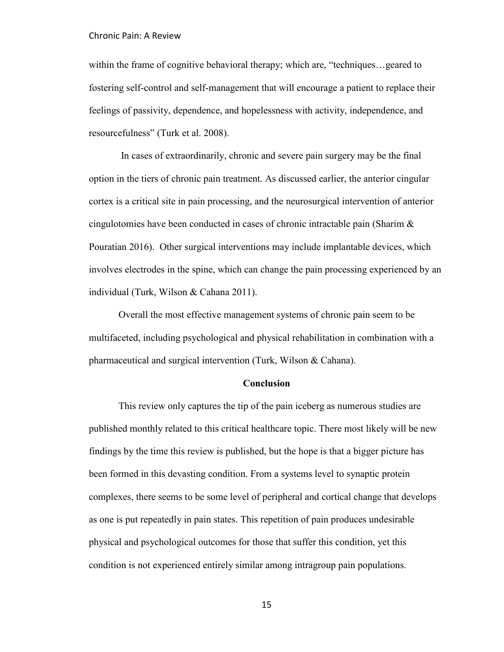within the frame of cognitive behavioral therapy; which are, "techniques... geared to fostering self-control and self-management that will encourage a patient to replace their feelings of passivity, dependence, and hopelessness with activity, independence, and resourcefulness" (Turk et al. 2008).

 In cases of extraordinarily, chronic and severe pain surgery may be the final option in the tiers of chronic pain treatment. As discussed earlier, the anterior cingular cortex is a critical site in pain processing, and the neurosurgical intervention of anterior cingulotomies have been conducted in cases of chronic intractable pain (Sharim  $\&$ Pouratian 2016). Other surgical interventions may include implantable devices, which involves electrodes in the spine, which can change the pain processing experienced by an individual (Turk, Wilson & Cahana 2011).

 Overall the most effective management systems of chronic pain seem to be multifaceted, including psychological and physical rehabilitation in combination with a pharmaceutical and surgical intervention (Turk, Wilson & Cahana).

#### **Conclusion**

This review only captures the tip of the pain iceberg as numerous studies are published monthly related to this critical healthcare topic. There most likely will be new findings by the time this review is published, but the hope is that a bigger picture has been formed in this devasting condition. From a systems level to synaptic protein complexes, there seems to be some level of peripheral and cortical change that develops as one is put repeatedly in pain states. This repetition of pain produces undesirable physical and psychological outcomes for those that suffer this condition, yet this condition is not experienced entirely similar among intragroup pain populations.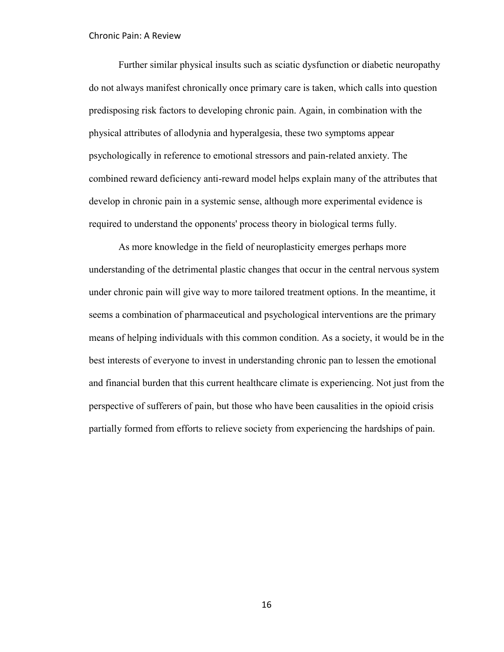Further similar physical insults such as sciatic dysfunction or diabetic neuropathy do not always manifest chronically once primary care is taken, which calls into question predisposing risk factors to developing chronic pain. Again, in combination with the physical attributes of allodynia and hyperalgesia, these two symptoms appear psychologically in reference to emotional stressors and pain-related anxiety. The combined reward deficiency anti-reward model helps explain many of the attributes that develop in chronic pain in a systemic sense, although more experimental evidence is required to understand the opponents' process theory in biological terms fully.

As more knowledge in the field of neuroplasticity emerges perhaps more understanding of the detrimental plastic changes that occur in the central nervous system under chronic pain will give way to more tailored treatment options. In the meantime, it seems a combination of pharmaceutical and psychological interventions are the primary means of helping individuals with this common condition. As a society, it would be in the best interests of everyone to invest in understanding chronic pan to lessen the emotional and financial burden that this current healthcare climate is experiencing. Not just from the perspective of sufferers of pain, but those who have been causalities in the opioid crisis partially formed from efforts to relieve society from experiencing the hardships of pain.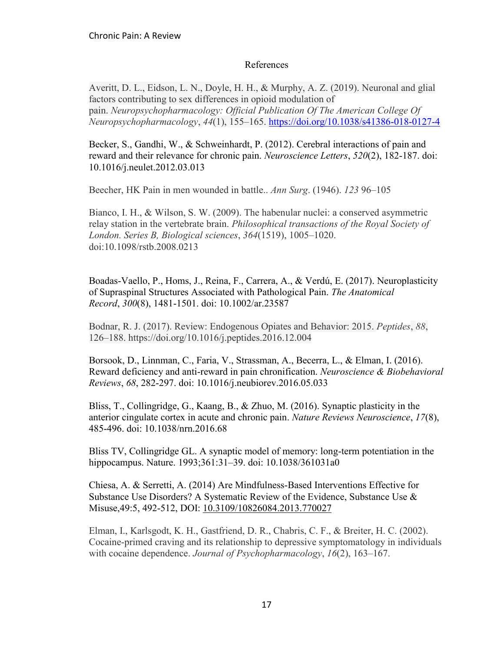## References

Averitt, D. L., Eidson, L. N., Doyle, H. H., & Murphy, A. Z. (2019). Neuronal and glial factors contributing to sex differences in opioid modulation of pain. *Neuropsychopharmacology: Official Publication Of The American College Of Neuropsychopharmacology*, *44*(1), 155–165.<https://doi.org/10.1038/s41386-018-0127-4>

Becker, S., Gandhi, W., & Schweinhardt, P. (2012). Cerebral interactions of pain and reward and their relevance for chronic pain. *Neuroscience Letters*, *520*(2), 182-187. doi: 10.1016/j.neulet.2012.03.013

Beecher, HK Pain in men wounded in battle.. *Ann Surg*. (1946). *123* 96–105

Bianco, I. H., & Wilson, S. W. (2009). The habenular nuclei: a conserved asymmetric relay station in the vertebrate brain. *Philosophical transactions of the Royal Society of London. Series B, Biological sciences*, *364*(1519), 1005–1020. doi:10.1098/rstb.2008.0213

Boadas-Vaello, P., Homs, J., Reina, F., Carrera, A., & Verdú, E. (2017). Neuroplasticity of Supraspinal Structures Associated with Pathological Pain. *The Anatomical Record*, *300*(8), 1481-1501. doi: 10.1002/ar.23587

Bodnar, R. J. (2017). Review: Endogenous Opiates and Behavior: 2015. *Peptides*, *88*, 126–188. https://doi.org/10.1016/j.peptides.2016.12.004

Borsook, D., Linnman, C., Faria, V., Strassman, A., Becerra, L., & Elman, I. (2016). Reward deficiency and anti-reward in pain chronification. *Neuroscience & Biobehavioral Reviews*, *68*, 282-297. doi: 10.1016/j.neubiorev.2016.05.033

Bliss, T., Collingridge, G., Kaang, B., & Zhuo, M. (2016). Synaptic plasticity in the anterior cingulate cortex in acute and chronic pain. *Nature Reviews Neuroscience*, *17*(8), 485-496. doi: 10.1038/nrn.2016.68

Bliss TV, Collingridge GL. A synaptic model of memory: long-term potentiation in the hippocampus. Nature. 1993;361:31–39. doi: 10.1038/361031a0

Chiesa, A. & Serretti, A. (2014) Are Mindfulness-Based Interventions Effective for Substance Use Disorders? A Systematic Review of the Evidence, Substance Use & Misuse,49:5, 492-512, DOI: [10.3109/10826084.2013.770027](https://doi.org/10.3109/10826084.2013.770027)

Elman, I., Karlsgodt, K. H., Gastfriend, D. R., Chabris, C. F., & Breiter, H. C. (2002). Cocaine-primed craving and its relationship to depressive symptomatology in individuals with cocaine dependence. *Journal of Psychopharmacology*, *16*(2), 163–167.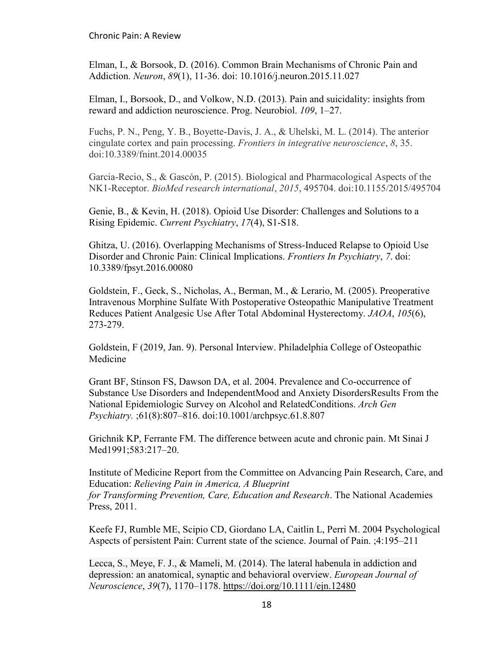Elman, I., & Borsook, D. (2016). Common Brain Mechanisms of Chronic Pain and Addiction. *Neuron*, *89*(1), 11-36. doi: 10.1016/j.neuron.2015.11.027

Elman, I., Borsook, D., and Volkow, N.D. (2013). Pain and suicidality: insights from reward and addiction neuroscience. Prog. Neurobiol. *109*, 1–27.

Fuchs, P. N., Peng, Y. B., Boyette-Davis, J. A., & Uhelski, M. L. (2014). The anterior cingulate cortex and pain processing. *Frontiers in integrative neuroscience*, *8*, 35. doi:10.3389/fnint.2014.00035

Garcia-Recio, S., & Gascón, P. (2015). Biological and Pharmacological Aspects of the NK1-Receptor. *BioMed research international*, *2015*, 495704. doi:10.1155/2015/495704

Genie, B., & Kevin, H. (2018). Opioid Use Disorder: Challenges and Solutions to a Rising Epidemic. *Current Psychiatry*, *17*(4), S1-S18.

Ghitza, U. (2016). Overlapping Mechanisms of Stress-Induced Relapse to Opioid Use Disorder and Chronic Pain: Clinical Implications. *Frontiers In Psychiatry*, *7*. doi: 10.3389/fpsyt.2016.00080

Goldstein, F., Geck, S., Nicholas, A., Berman, M., & Lerario, M. (2005). Preoperative Intravenous Morphine Sulfate With Postoperative Osteopathic Manipulative Treatment Reduces Patient Analgesic Use After Total Abdominal Hysterectomy. *JAOA*, *105*(6), 273-279.

Goldstein, F (2019, Jan. 9). Personal Interview. Philadelphia College of Osteopathic Medicine

Grant BF, Stinson FS, Dawson DA, et al. 2004. Prevalence and Co-occurrence of Substance Use Disorders and IndependentMood and Anxiety DisordersResults From the National Epidemiologic Survey on Alcohol and RelatedConditions. *Arch Gen Psychiatry.* ;61(8):807–816. doi:10.1001/archpsyc.61.8.807

Grichnik KP, Ferrante FM. The difference between acute and chronic pain. Mt Sinai J Med1991;583:217–20.

Institute of Medicine Report from the Committee on Advancing Pain Research, Care, and Education: *Relieving Pain in America, A Blueprint for Transforming Prevention, Care, Education and Research*. The National Academies Press, 2011.

Keefe FJ, Rumble ME, Scipio CD, Giordano LA, Caitlin L, Perri M. 2004 Psychological Aspects of persistent Pain: Current state of the science. Journal of Pain. ;4:195–211

Lecca, S., Meye, F. J., & Mameli, M. (2014). The lateral habenula in addiction and depression: an anatomical, synaptic and behavioral overview. *European Journal of Neuroscience*, *39*(7), 1170–1178.<https://doi.org/10.1111/ejn.12480>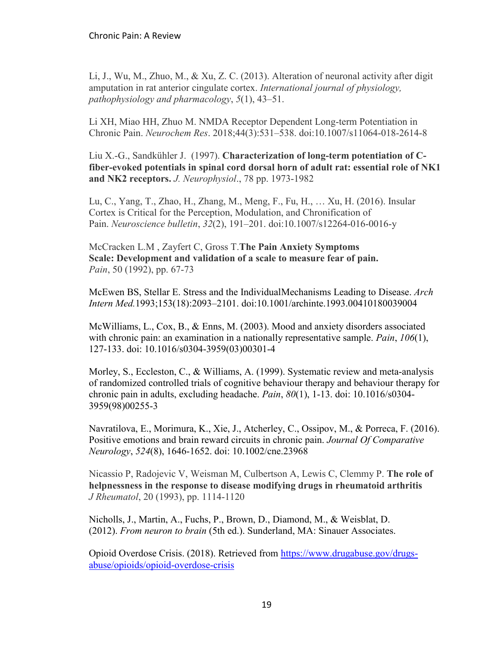Li, J., Wu, M., Zhuo, M., & Xu, Z. C. (2013). Alteration of neuronal activity after digit amputation in rat anterior cingulate cortex. *International journal of physiology, pathophysiology and pharmacology*, *5*(1), 43–51.

Li XH, Miao HH, Zhuo M. NMDA Receptor Dependent Long-term Potentiation in Chronic Pain. *Neurochem Res*. 2018;44(3):531–538. doi:10.1007/s11064-018-2614-8

Liu X.-G., Sandkühler J. (1997). **Characterization of long-term potentiation of Cfiber-evoked potentials in spinal cord dorsal horn of adult rat: essential role of NK1 and NK2 receptors.** *J. Neurophysiol*., 78 pp. 1973-1982

Lu, C., Yang, T., Zhao, H., Zhang, M., Meng, F., Fu, H., … Xu, H. (2016). Insular Cortex is Critical for the Perception, Modulation, and Chronification of Pain. *Neuroscience bulletin*, *32*(2), 191–201. doi:10.1007/s12264-016-0016-y

McCracken L.M , Zayfert C, Gross T.**The Pain Anxiety Symptoms Scale: Development and validation of a scale to measure fear of pain.**  *Pain*, 50 (1992), pp. 67-73

McEwen BS, Stellar E. Stress and the IndividualMechanisms Leading to Disease. *Arch Intern Med.*1993;153(18):2093–2101. doi:10.1001/archinte.1993.00410180039004

McWilliams, L., Cox, B., & Enns, M. (2003). Mood and anxiety disorders associated with chronic pain: an examination in a nationally representative sample. *Pain*, *106*(1), 127-133. doi: 10.1016/s0304-3959(03)00301-4

Morley, S., Eccleston, C., & Williams, A. (1999). Systematic review and meta-analysis of randomized controlled trials of cognitive behaviour therapy and behaviour therapy for chronic pain in adults, excluding headache. *Pain*, *80*(1), 1-13. doi: 10.1016/s0304- 3959(98)00255-3

Navratilova, E., Morimura, K., Xie, J., Atcherley, C., Ossipov, M., & Porreca, F. (2016). Positive emotions and brain reward circuits in chronic pain. *Journal Of Comparative Neurology*, *524*(8), 1646-1652. doi: 10.1002/cne.23968

Nicassio P, Radojevic V, Weisman M, Culbertson A, Lewis C, Clemmy P. **The role of helpnessness in the response to disease modifying drugs in rheumatoid arthritis** *J Rheumatol*, 20 (1993), pp. 1114-1120

Nicholls, J., Martin, A., Fuchs, P., Brown, D., Diamond, M., & Weisblat, D. (2012). *From neuron to brain* (5th ed.). Sunderland, MA: Sinauer Associates.

Opioid Overdose Crisis. (2018). Retrieved from [https://www.drugabuse.gov/drugs](https://www.drugabuse.gov/drugs-abuse/opioids/opioid-overdose-crisis)[abuse/opioids/opioid-overdose-crisis](https://www.drugabuse.gov/drugs-abuse/opioids/opioid-overdose-crisis)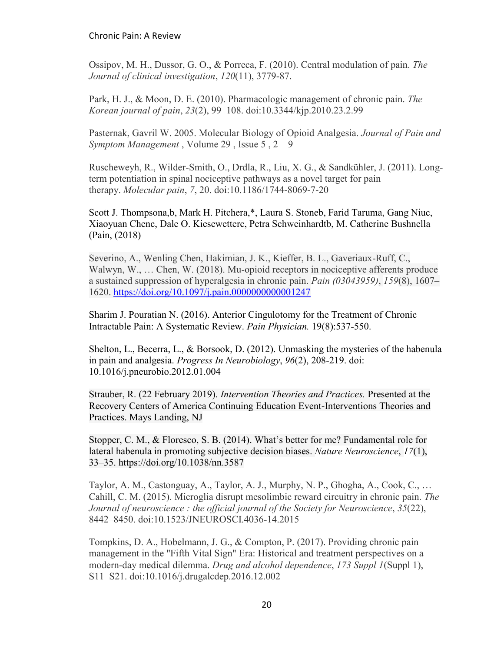Ossipov, M. H., Dussor, G. O., & Porreca, F. (2010). Central modulation of pain. *The Journal of clinical investigation*, *120*(11), 3779-87.

Park, H. J., & Moon, D. E. (2010). Pharmacologic management of chronic pain. *The Korean journal of pain*, *23*(2), 99–108. doi:10.3344/kjp.2010.23.2.99

Pasternak, Gavril W. 2005. Molecular Biology of Opioid Analgesia. *Journal of Pain and Symptom Management* , Volume 29 , Issue 5 , 2 – 9

Ruscheweyh, R., Wilder-Smith, O., Drdla, R., Liu, X. G., & Sandkühler, J. (2011). Longterm potentiation in spinal nociceptive pathways as a novel target for pain therapy. *Molecular pain*, *7*, 20. doi:10.1186/1744-8069-7-20

Scott J. Thompsona,b, Mark H. Pitchera,\*, Laura S. Stoneb, Farid Taruma, Gang Niuc, Xiaoyuan Chenc, Dale O. Kiesewetterc, Petra Schweinhardtb, M. Catherine Bushnella (Pain, (2018)

Severino, A., Wenling Chen, Hakimian, J. K., Kieffer, B. L., Gaveriaux-Ruff, C., Walwyn, W., … Chen, W. (2018). Mu-opioid receptors in nociceptive afferents produce a sustained suppression of hyperalgesia in chronic pain. *Pain (03043959)*, *159*(8), 1607– 1620.<https://doi.org/10.1097/j.pain.0000000000001247>

Sharim J. Pouratian N. (2016). Anterior Cingulotomy for the Treatment of Chronic Intractable Pain: A Systematic Review. *Pain Physician.* 19(8):537-550.

Shelton, L., Becerra, L., & Borsook, D. (2012). Unmasking the mysteries of the habenula in pain and analgesia. *Progress In Neurobiology*, *96*(2), 208-219. doi: 10.1016/j.pneurobio.2012.01.004

Strauber, R. (22 February 2019). *Intervention Theories and Practices.* Presented at the Recovery Centers of America Continuing Education Event-Interventions Theories and Practices. Mays Landing, NJ

Stopper, C. M., & Floresco, S. B. (2014). What's better for me? Fundamental role for lateral habenula in promoting subjective decision biases. *Nature Neuroscience*, *17*(1), 33–35.<https://doi.org/10.1038/nn.3587>

Taylor, A. M., Castonguay, A., Taylor, A. J., Murphy, N. P., Ghogha, A., Cook, C., … Cahill, C. M. (2015). Microglia disrupt mesolimbic reward circuitry in chronic pain. *The Journal of neuroscience : the official journal of the Society for Neuroscience*, *35*(22), 8442–8450. doi:10.1523/JNEUROSCI.4036-14.2015

Tompkins, D. A., Hobelmann, J. G., & Compton, P. (2017). Providing chronic pain management in the "Fifth Vital Sign" Era: Historical and treatment perspectives on a modern-day medical dilemma. *Drug and alcohol dependence*, *173 Suppl 1*(Suppl 1), S11–S21. doi:10.1016/j.drugalcdep.2016.12.002